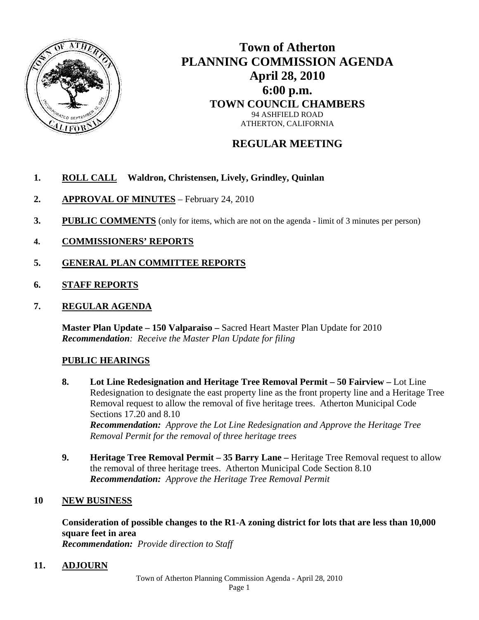

# **Town of Atherton PLANNING COMMISSION AGENDA April 28, 2010 6:00 p.m. TOWN COUNCIL CHAMBERS**  94 ASHFIELD ROAD ATHERTON, CALIFORNIA

## **REGULAR MEETING**

## **1. ROLL CALL Waldron, Christensen, Lively, Grindley, Quinlan**

- **2. APPROVAL OF MINUTES** February 24, 2010
- **3.** PUBLIC COMMENTS (only for items, which are not on the agenda limit of 3 minutes per person)
- **4. COMMISSIONERS' REPORTS**
- **5. GENERAL PLAN COMMITTEE REPORTS**
- **6. STAFF REPORTS**
- **7. REGULAR AGENDA**

**Master Plan Update – 150 Valparaiso –** Sacred Heart Master Plan Update for 2010 *Recommendation: Receive the Master Plan Update for filing* 

### **PUBLIC HEARINGS**

- **8. Lot Line Redesignation and Heritage Tree Removal Permit 50 Fairview** Lot Line Redesignation to designate the east property line as the front property line and a Heritage Tree Removal request to allow the removal of five heritage trees. Atherton Municipal Code Sections 17.20 and 8.10 *Recommendation: Approve the Lot Line Redesignation and Approve the Heritage Tree Removal Permit for the removal of three heritage trees*
- **9. Heritage Tree Removal Permit 35 Barry Lane** Heritage Tree Removal request to allow the removal of three heritage trees. Atherton Municipal Code Section 8.10 *Recommendation: Approve the Heritage Tree Removal Permit*

### **10 NEW BUSINESS**

**Consideration of possible changes to the R1-A zoning district for lots that are less than 10,000 square feet in area**  *Recommendation: Provide direction to Staff*

**11. ADJOURN**